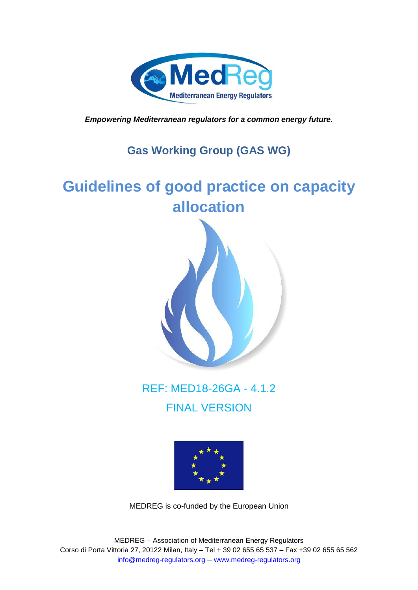

*Empowering Mediterranean regulators for a common energy future.*

# **Gas Working Group (GAS WG)**

# **Guidelines of good practice on capacity allocation**



REF: MED18-26GA - 4.1.2 FINAL VERSION



MEDREG is co-funded by the European Union

MEDREG – Association of Mediterranean Energy Regulators Corso di Porta Vittoria 27, 20122 Milan, Italy – Tel + 39 02 655 65 537 – Fax +39 02 655 65 562 [info@medreg-regulators.org](mailto:info@medreg-regulators.org) – [www.medreg-regulators.org](http://www.medreg-regulators.org/)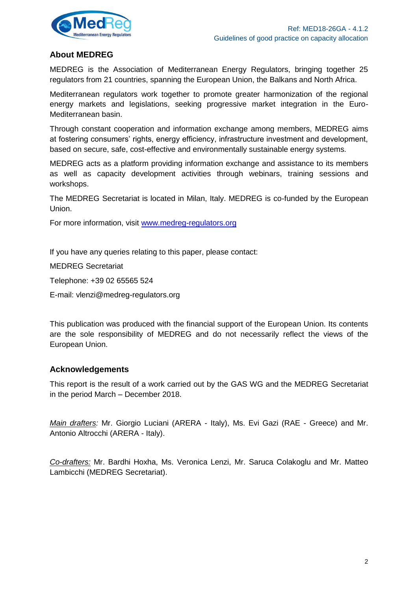

### **About MEDREG**

MEDREG is the Association of Mediterranean Energy Regulators, bringing together 25 regulators from 21 countries, spanning the European Union, the Balkans and North Africa.

Mediterranean regulators work together to promote greater harmonization of the regional energy markets and legislations, seeking progressive market integration in the Euro-Mediterranean basin.

Through constant cooperation and information exchange among members, MEDREG aims at fostering consumers' rights, energy efficiency, infrastructure investment and development, based on secure, safe, cost-effective and environmentally sustainable energy systems.

MEDREG acts as a platform providing information exchange and assistance to its members as well as capacity development activities through webinars, training sessions and workshops.

The MEDREG Secretariat is located in Milan, Italy. MEDREG is co-funded by the European Union.

For more information, visit [www.medreg-regulators.org](http://www.medreg-regulators.org/)

If you have any queries relating to this paper, please contact:

MEDREG Secretariat

Telephone: +39 02 65565 524

E-mail: vlenzi@medreg-regulators.org

This publication was produced with the financial support of the European Union. Its contents are the sole responsibility of MEDREG and do not necessarily reflect the views of the European Union.

### **Acknowledgements**

This report is the result of a work carried out by the GAS WG and the MEDREG Secretariat in the period March – December 2018.

*Main drafters:* Mr. Giorgio Luciani (ARERA - Italy), Ms. Evi Gazi (RAE - Greece) and Mr. Antonio Altrocchi (ARERA - Italy).

*Co-drafters:* Mr. Bardhi Hoxha, Ms. Veronica Lenzi, Mr. Saruca Colakoglu and Mr. Matteo Lambicchi (MEDREG Secretariat).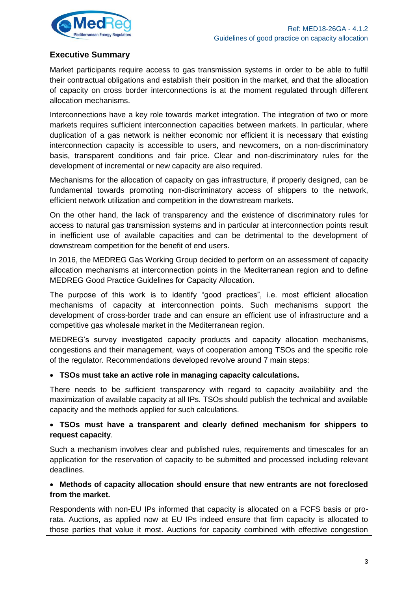

### **Executive Summary**

Market participants require access to gas transmission systems in order to be able to fulfil their contractual obligations and establish their position in the market, and that the allocation of capacity on cross border interconnections is at the moment regulated through different allocation mechanisms.

Interconnections have a key role towards market integration. The integration of two or more markets requires sufficient interconnection capacities between markets. In particular, where duplication of a gas network is neither economic nor efficient it is necessary that existing interconnection capacity is accessible to users, and newcomers, on a non-discriminatory basis, transparent conditions and fair price. Clear and non-discriminatory rules for the development of incremental or new capacity are also required.

Mechanisms for the allocation of capacity on gas infrastructure, if properly designed, can be fundamental towards promoting non-discriminatory access of shippers to the network, efficient network utilization and competition in the downstream markets.

On the other hand, the lack of transparency and the existence of discriminatory rules for access to natural gas transmission systems and in particular at interconnection points result in inefficient use of available capacities and can be detrimental to the development of downstream competition for the benefit of end users.

In 2016, the MEDREG Gas Working Group decided to perform on an assessment of capacity allocation mechanisms at interconnection points in the Mediterranean region and to define MEDREG Good Practice Guidelines for Capacity Allocation.

The purpose of this work is to identify "good practices", i.e. most efficient allocation mechanisms of capacity at interconnection points. Such mechanisms support the development of cross-border trade and can ensure an efficient use of infrastructure and a competitive gas wholesale market in the Mediterranean region.

MEDREG's survey investigated capacity products and capacity allocation mechanisms, congestions and their management, ways of cooperation among TSOs and the specific role of the regulator. Recommendations developed revolve around 7 main steps:

#### **TSOs must take an active role in managing capacity calculations.**

There needs to be sufficient transparency with regard to capacity availability and the maximization of available capacity at all IPs. TSOs should publish the technical and available capacity and the methods applied for such calculations.

### **TSOs must have a transparent and clearly defined mechanism for shippers to request capacity**.

Such a mechanism involves clear and published rules, requirements and timescales for an application for the reservation of capacity to be submitted and processed including relevant deadlines.

### **Methods of capacity allocation should ensure that new entrants are not foreclosed from the market.**

Respondents with non-EU IPs informed that capacity is allocated on a FCFS basis or prorata. Auctions, as applied now at EU IPs indeed ensure that firm capacity is allocated to those parties that value it most. Auctions for capacity combined with effective congestion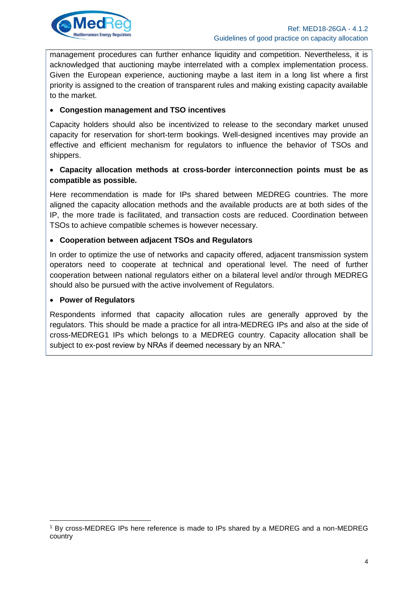

management procedures can further enhance liquidity and competition. Nevertheless, it is acknowledged that auctioning maybe interrelated with a complex implementation process. Given the European experience, auctioning maybe a last item in a long list where a first priority is assigned to the creation of transparent rules and making existing capacity available to the market.

#### **Congestion management and TSO incentives**

Capacity holders should also be incentivized to release to the secondary market unused capacity for reservation for short-term bookings. Well-designed incentives may provide an effective and efficient mechanism for regulators to influence the behavior of TSOs and shippers.

#### **Capacity allocation methods at cross-border interconnection points must be as compatible as possible.**

Here recommendation is made for IPs shared between MEDREG countries. The more aligned the capacity allocation methods and the available products are at both sides of the IP, the more trade is facilitated, and transaction costs are reduced. Coordination between TSOs to achieve compatible schemes is however necessary.

#### **Cooperation between adjacent TSOs and Regulators**

In order to optimize the use of networks and capacity offered, adjacent transmission system operators need to cooperate at technical and operational level. The need of further cooperation between national regulators either on a bilateral level and/or through MEDREG should also be pursued with the active involvement of Regulators.

#### **Power of Regulators**

Respondents informed that capacity allocation rules are generally approved by the regulators. This should be made a practice for all intra-MEDREG IPs and also at the side of cross-MEDREG1 IPs which belongs to a MEDREG country. Capacity allocation shall be subject to ex-post review by NRAs if deemed necessary by an NRA."

<sup>1</sup> By cross-MEDREG IPs here reference is made to IPs shared by a MEDREG and a non-MEDREG country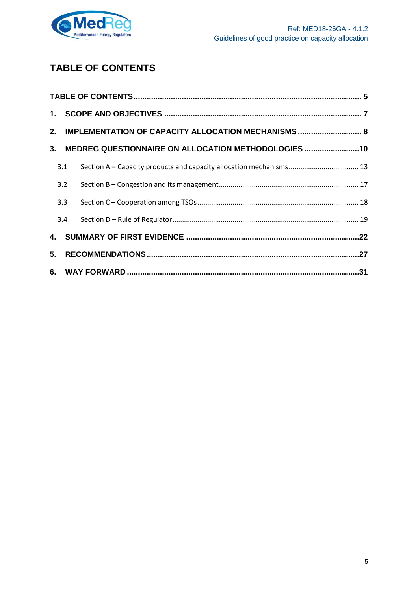

# <span id="page-4-0"></span>**TABLE OF CONTENTS**

|     | 2. IMPLEMENTATION OF CAPACITY ALLOCATION MECHANISMS  8 |  |
|-----|--------------------------------------------------------|--|
|     | 3. MEDREG QUESTIONNAIRE ON ALLOCATION METHODOLOGIES 10 |  |
| 3.1 |                                                        |  |
| 3.2 |                                                        |  |
| 3.3 |                                                        |  |
| 3.4 |                                                        |  |
|     |                                                        |  |
|     |                                                        |  |
|     |                                                        |  |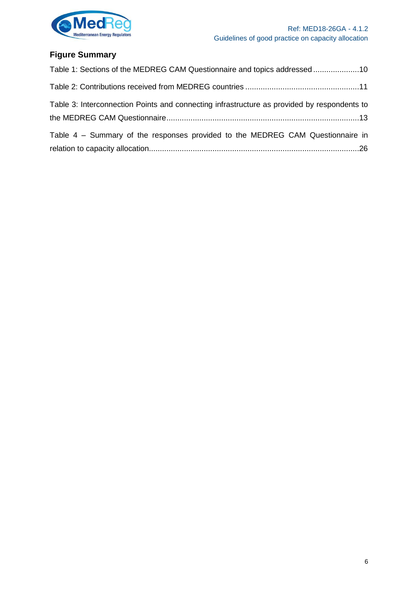

# **Figure Summary**

| Table 1: Sections of the MEDREG CAM Questionnaire and topics addressed10                    |  |
|---------------------------------------------------------------------------------------------|--|
|                                                                                             |  |
| Table 3: Interconnection Points and connecting infrastructure as provided by respondents to |  |
| Table 4 – Summary of the responses provided to the MEDREG CAM Questionnaire in              |  |
|                                                                                             |  |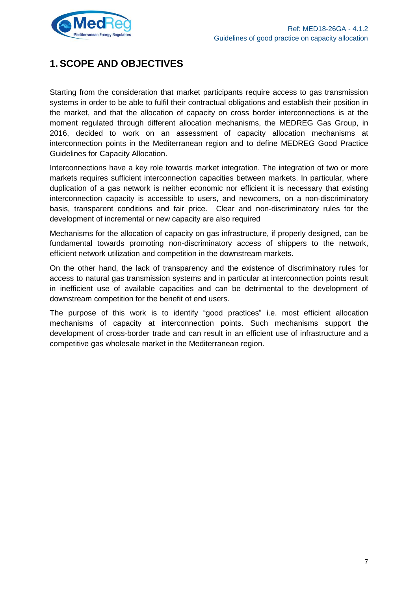

# <span id="page-6-0"></span>**1. SCOPE AND OBJECTIVES**

Starting from the consideration that market participants require access to gas transmission systems in order to be able to fulfil their contractual obligations and establish their position in the market, and that the allocation of capacity on cross border interconnections is at the moment regulated through different allocation mechanisms, the MEDREG Gas Group, in 2016, decided to work on an assessment of capacity allocation mechanisms at interconnection points in the Mediterranean region and to define MEDREG Good Practice Guidelines for Capacity Allocation.

Interconnections have a key role towards market integration. The integration of two or more markets requires sufficient interconnection capacities between markets. In particular, where duplication of a gas network is neither economic nor efficient it is necessary that existing interconnection capacity is accessible to users, and newcomers, on a non-discriminatory basis, transparent conditions and fair price. Clear and non-discriminatory rules for the development of incremental or new capacity are also required

Mechanisms for the allocation of capacity on gas infrastructure, if properly designed, can be fundamental towards promoting non-discriminatory access of shippers to the network, efficient network utilization and competition in the downstream markets.

On the other hand, the lack of transparency and the existence of discriminatory rules for access to natural gas transmission systems and in particular at interconnection points result in inefficient use of available capacities and can be detrimental to the development of downstream competition for the benefit of end users.

The purpose of this work is to identify "good practices" i.e. most efficient allocation mechanisms of capacity at interconnection points. Such mechanisms support the development of cross-border trade and can result in an efficient use of infrastructure and a competitive gas wholesale market in the Mediterranean region.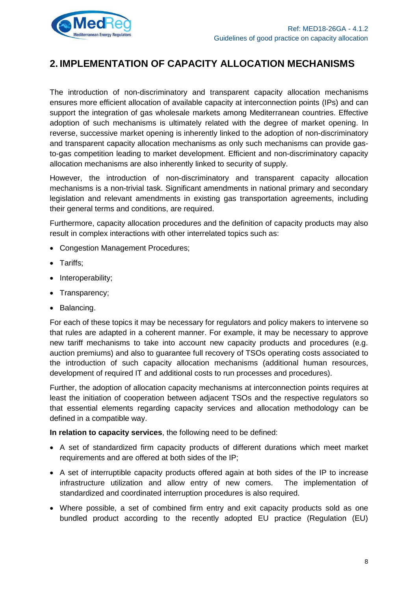

# <span id="page-7-0"></span>**2. IMPLEMENTATION OF CAPACITY ALLOCATION MECHANISMS**

The introduction of non-discriminatory and transparent capacity allocation mechanisms ensures more efficient allocation of available capacity at interconnection points (IPs) and can support the integration of gas wholesale markets among Mediterranean countries. Effective adoption of such mechanisms is ultimately related with the degree of market opening. In reverse, successive market opening is inherently linked to the adoption of non-discriminatory and transparent capacity allocation mechanisms as only such mechanisms can provide gasto-gas competition leading to market development. Efficient and non-discriminatory capacity allocation mechanisms are also inherently linked to security of supply.

However, the introduction of non-discriminatory and transparent capacity allocation mechanisms is a non-trivial task. Significant amendments in national primary and secondary legislation and relevant amendments in existing gas transportation agreements, including their general terms and conditions, are required.

Furthermore, capacity allocation procedures and the definition of capacity products may also result in complex interactions with other interrelated topics such as:

- Congestion Management Procedures;
- Tariffs;
- Interoperability;
- Transparency;
- Balancing.

For each of these topics it may be necessary for regulators and policy makers to intervene so that rules are adapted in a coherent manner. For example, it may be necessary to approve new tariff mechanisms to take into account new capacity products and procedures (e.g. auction premiums) and also to guarantee full recovery of TSOs operating costs associated to the introduction of such capacity allocation mechanisms (additional human resources, development of required IT and additional costs to run processes and procedures).

Further, the adoption of allocation capacity mechanisms at interconnection points requires at least the initiation of cooperation between adjacent TSOs and the respective regulators so that essential elements regarding capacity services and allocation methodology can be defined in a compatible way.

**In relation to capacity services**, the following need to be defined:

- A set of standardized firm capacity products of different durations which meet market requirements and are offered at both sides of the IP;
- A set of interruptible capacity products offered again at both sides of the IP to increase infrastructure utilization and allow entry of new comers. The implementation of standardized and coordinated interruption procedures is also required.
- Where possible, a set of combined firm entry and exit capacity products sold as one bundled product according to the recently adopted EU practice (Regulation (EU)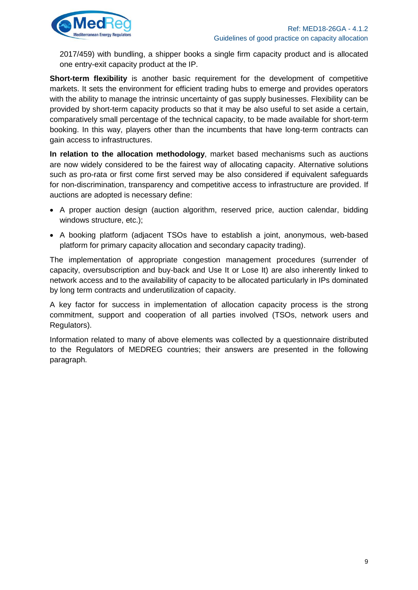

2017/459) with bundling, a shipper books a single firm capacity product and is allocated one entry-exit capacity product at the IP.

**Short-term flexibility** is another basic requirement for the development of competitive markets. It sets the environment for efficient trading hubs to emerge and provides operators with the ability to manage the intrinsic uncertainty of gas supply businesses. Flexibility can be provided by short-term capacity products so that it may be also useful to set aside a certain, comparatively small percentage of the technical capacity, to be made available for short-term booking. In this way, players other than the incumbents that have long-term contracts can gain access to infrastructures.

**In relation to the allocation methodology**, market based mechanisms such as auctions are now widely considered to be the fairest way of allocating capacity. Alternative solutions such as pro-rata or first come first served may be also considered if equivalent safeguards for non-discrimination, transparency and competitive access to infrastructure are provided. If auctions are adopted is necessary define:

- A proper auction design (auction algorithm, reserved price, auction calendar, bidding windows structure, etc.);
- A booking platform (adjacent TSOs have to establish a joint, anonymous, web-based platform for primary capacity allocation and secondary capacity trading).

The implementation of appropriate congestion management procedures (surrender of capacity, oversubscription and buy-back and Use It or Lose It) are also inherently linked to network access and to the availability of capacity to be allocated particularly in IPs dominated by long term contracts and underutilization of capacity.

A key factor for success in implementation of allocation capacity process is the strong commitment, support and cooperation of all parties involved (TSOs, network users and Regulators).

Information related to many of above elements was collected by a questionnaire distributed to the Regulators of MEDREG countries; their answers are presented in the following paragraph.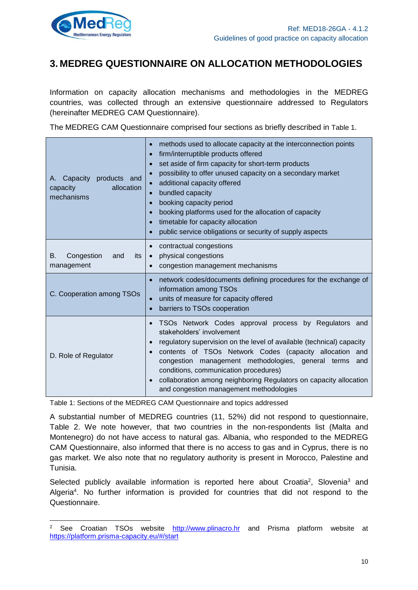

## <span id="page-9-0"></span>**3. MEDREG QUESTIONNAIRE ON ALLOCATION METHODOLOGIES**

Information on capacity allocation mechanisms and methodologies in the MEDREG countries, was collected through an extensive questionnaire addressed to Regulators (hereinafter MEDREG CAM Questionnaire).

The MEDREG CAM Questionnaire comprised four sections as briefly described in [Table 1](#page-9-1).

| Capacity products and<br>А.<br>allocation<br>capacity<br>mechanisms | methods used to allocate capacity at the interconnection points<br>firm/interruptible products offered<br>$\bullet$<br>set aside of firm capacity for short-term products<br>possibility to offer unused capacity on a secondary market<br>additional capacity offered<br>bundled capacity<br>booking capacity period<br>$\bullet$<br>booking platforms used for the allocation of capacity<br>timetable for capacity allocation<br>public service obligations or security of supply aspects |
|---------------------------------------------------------------------|----------------------------------------------------------------------------------------------------------------------------------------------------------------------------------------------------------------------------------------------------------------------------------------------------------------------------------------------------------------------------------------------------------------------------------------------------------------------------------------------|
| Congestion<br>its<br>В.<br>and<br>management                        | contractual congestions<br>physical congestions<br>$\bullet$<br>congestion management mechanisms                                                                                                                                                                                                                                                                                                                                                                                             |
| C. Cooperation among TSOs                                           | network codes/documents defining procedures for the exchange of<br>information among TSOs<br>units of measure for capacity offered<br>barriers to TSOs cooperation                                                                                                                                                                                                                                                                                                                           |
| D. Role of Regulator                                                | TSOs Network Codes approval process by Regulators and<br>stakeholders' involvement<br>regulatory supervision on the level of available (technical) capacity<br>contents of TSOs Network Codes (capacity allocation and<br>congestion management methodologies, general terms<br>and<br>conditions, communication procedures)<br>collaboration among neighboring Regulators on capacity allocation<br>and congestion management methodologies                                                 |

<span id="page-9-1"></span>Table 1: Sections of the MEDREG CAM Questionnaire and topics addressed

A substantial number of MEDREG countries (11, 52%) did not respond to questionnaire, Table 2. We note however, that two countries in the non-respondents list (Malta and Montenegro) do not have access to natural gas. Albania, who responded to the MEDREG CAM Questionnaire, also informed that there is no access to gas and in Cyprus, there is no gas market. We also note that no regulatory authority is present in Morocco, Palestine and Tunisia.

Selected publicly available information is reported here about Croatia<sup>2</sup>, Slovenia<sup>3</sup> and Algeria<sup>4</sup>. No further information is provided for countries that did not respond to the Questionnaire.

<sup>&</sup>lt;sup>2</sup> See Croatian TSOs website [http://www.plinacro.hr](http://www.plinacro.hr/default.aspx?id=754) and Prisma platform website at <https://platform.prisma-capacity.eu/#/start>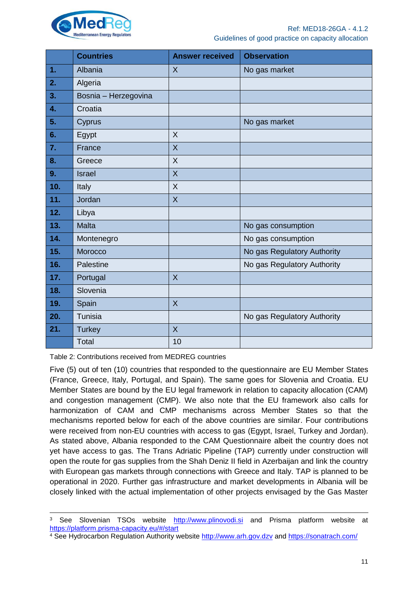

|              | <b>Countries</b>     | <b>Answer received</b> | <b>Observation</b>          |
|--------------|----------------------|------------------------|-----------------------------|
| 1.           | Albania              | $\sf X$                | No gas market               |
| 2.           | Algeria              |                        |                             |
| 3.           | Bosnia - Herzegovina |                        |                             |
| $\mathbf{4}$ | Croatia              |                        |                             |
| 5.           | Cyprus               |                        | No gas market               |
| 6.           | Egypt                | X                      |                             |
| 7.           | France               | X                      |                             |
| 8.           | Greece               | $\times$               |                             |
| 9.           | <b>Israel</b>        | $\sf X$                |                             |
| 10.          | Italy                | $\sf X$                |                             |
| 11.          | Jordan               | $\sf X$                |                             |
| 12.          | Libya                |                        |                             |
| 13.          | <b>Malta</b>         |                        | No gas consumption          |
| 14.          | Montenegro           |                        | No gas consumption          |
| 15.          | Morocco              |                        | No gas Regulatory Authority |
| 16.          | Palestine            |                        | No gas Regulatory Authority |
| 17.          | Portugal             | $\sf X$                |                             |
| 18.          | Slovenia             |                        |                             |
| 19.          | Spain                | $\sf X$                |                             |
| 20.          | Tunisia              |                        | No gas Regulatory Authority |
| 21.          | <b>Turkey</b>        | $\overline{X}$         |                             |
|              | Total                | 10                     |                             |

<span id="page-10-0"></span>Table 2: Contributions received from MEDREG countries

 $\overline{a}$ 

Five (5) out of ten (10) countries that responded to the questionnaire are EU Member States (France, Greece, Italy, Portugal, and Spain). The same goes for Slovenia and Croatia. EU Member States are bound by the EU legal framework in relation to capacity allocation (CAM) and congestion management (CMP). We also note that the EU framework also calls for harmonization of CAM and CMP mechanisms across Member States so that the mechanisms reported below for each of the above countries are similar. Four contributions were received from non-EU countries with access to gas (Egypt, Israel, Turkey and Jordan). As stated above, Albania responded to the CAM Questionnaire albeit the country does not yet have access to gas. The Trans Adriatic Pipeline (TAP) currently under construction will open the route for gas supplies from the Shah Deniz II field in Azerbaijan and link the country with European gas markets through connections with Greece and Italy. TAP is planned to be operational in 2020. Further gas infrastructure and market developments in Albania will be closely linked with the actual implementation of other projects envisaged by the Gas Master

<sup>&</sup>lt;sup>3</sup> See Slovenian TSOs website [http://www.plinovodi.si](http://www.plinovodi.si/en/access/auctions/) and Prisma platform website at <https://platform.prisma-capacity.eu/#/start>

<sup>4</sup> See Hydrocarbon Regulation Authority website [http://www.arh.gov.dzv](http://www.arh.gov.dzv/) and<https://sonatrach.com/>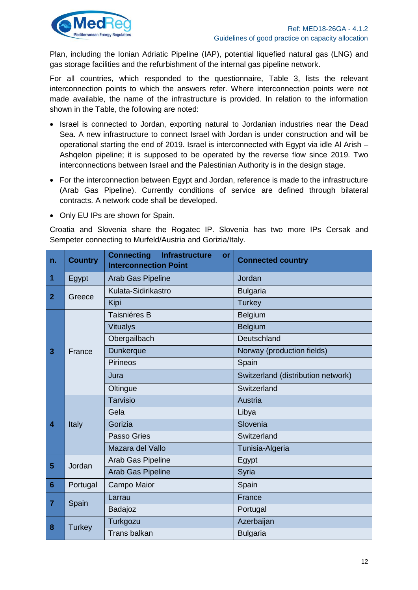

Plan, including the Ionian Adriatic Pipeline (IAP), potential liquefied natural gas (LNG) and gas storage facilities and the refurbishment of the internal gas pipeline network.

For all countries, which responded to the questionnaire, Table 3, lists the relevant interconnection points to which the answers refer. Where interconnection points were not made available, the name of the infrastructure is provided. In relation to the information shown in the Table, the following are noted:

- Israel is connected to Jordan, exporting natural to Jordanian industries near the Dead Sea. A new infrastructure to connect Israel with Jordan is under construction and will be operational starting the end of 2019. Israel is interconnected with Egypt via idle Al Arish – Ashqelon pipeline; it is supposed to be operated by the reverse flow since 2019. Two interconnections between Israel and the Palestinian Authority is in the design stage.
- For the interconnection between Egypt and Jordan, reference is made to the infrastructure (Arab Gas Pipeline). Currently conditions of service are defined through bilateral contracts. A network code shall be developed.
- Only EU IPs are shown for Spain.

Croatia and Slovenia share the Rogatec IP. Slovenia has two more IPs Cersak and Sempeter connecting to Murfeld/Austria and Gorizia/Italy.

| $\vert$ n.                         | <b>Country</b> | <b>Connecting</b><br><b>Infrastructure</b><br>or<br><b>Interconnection Point</b> | <b>Connected country</b>           |
|------------------------------------|----------------|----------------------------------------------------------------------------------|------------------------------------|
| $\vert$ 1                          | Egypt          | Arab Gas Pipeline                                                                | Jordan                             |
| $\overline{2}$                     | Greece         | Kulata-Sidirikastro                                                              | <b>Bulgaria</b>                    |
|                                    |                | Kipi                                                                             | <b>Turkey</b>                      |
|                                    |                | Taisniéres B                                                                     | Belgium                            |
|                                    |                | <b>Vitualys</b>                                                                  | <b>Belgium</b>                     |
|                                    |                | Obergailbach                                                                     | Deutschland                        |
| $\overline{3}$                     | France         | <b>Dunkerque</b>                                                                 | Norway (production fields)         |
|                                    |                | <b>Pirineos</b>                                                                  | Spain                              |
|                                    |                | Jura                                                                             | Switzerland (distribution network) |
|                                    |                | Oltingue                                                                         | Switzerland                        |
|                                    | Italy          | <b>Tarvisio</b>                                                                  | Austria                            |
|                                    |                | Gela                                                                             | Libya                              |
| $\overline{4}$                     |                | Gorizia                                                                          | Slovenia                           |
|                                    |                | Passo Gries                                                                      | Switzerland                        |
|                                    |                | Mazara del Vallo                                                                 | Tunisia-Algeria                    |
| $5\phantom{1}$                     | Jordan         | Arab Gas Pipeline                                                                | Egypt                              |
|                                    |                | Arab Gas Pipeline                                                                | Syria                              |
| $6\phantom{1}6$                    | Portugal       | Campo Maior                                                                      | Spain                              |
| $\begin{array}{c} \n7 \end{array}$ |                | Larrau                                                                           | France                             |
|                                    | Spain          | Badajoz                                                                          | Portugal                           |
| 8                                  |                | Turkgozu                                                                         | Azerbaijan                         |
|                                    | <b>Turkey</b>  | <b>Trans balkan</b>                                                              | <b>Bulgaria</b>                    |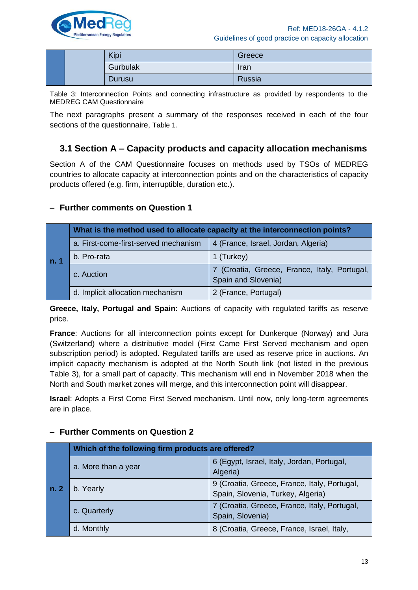

|  | Kipi     | Greece |
|--|----------|--------|
|  | Gurbulak | Iran   |
|  | Durusu   | Russia |

<span id="page-12-1"></span>Table 3: Interconnection Points and connecting infrastructure as provided by respondents to the MEDREG CAM Questionnaire

The next paragraphs present a summary of the responses received in each of the four sections of the questionnaire, [Table 1](#page-9-1).

### <span id="page-12-0"></span>**3.1 Section A – Capacity products and capacity allocation mechanisms**

Section A of the CAM Questionnaire focuses on methods used by TSOs of MEDREG countries to allocate capacity at interconnection points and on the characteristics of capacity products offered (e.g. firm, interruptible, duration etc.).

### **– Further comments on Question 1**

|      | What is the method used to allocate capacity at the interconnection points? |                                                                     |  |
|------|-----------------------------------------------------------------------------|---------------------------------------------------------------------|--|
|      | a. First-come-first-served mechanism                                        | 4 (France, Israel, Jordan, Algeria)                                 |  |
| n. 1 | b. Pro-rata                                                                 | 1 (Turkey)                                                          |  |
|      | c. Auction                                                                  | 7 (Croatia, Greece, France, Italy, Portugal,<br>Spain and Slovenia) |  |
|      | d. Implicit allocation mechanism                                            | 2 (France, Portugal)                                                |  |

**Greece, Italy, Portugal and Spain**: Auctions of capacity with regulated tariffs as reserve price.

**France**: Auctions for all interconnection points except for Dunkerque (Norway) and Jura (Switzerland) where a distributive model (First Came First Served mechanism and open subscription period) is adopted. Regulated tariffs are used as reserve price in auctions. An implicit capacity mechanism is adopted at the North South link (not listed in the previous Table 3), for a small part of capacity. This mechanism will end in November 2018 when the North and South market zones will merge, and this interconnection point will disappear.

**Israel**: Adopts a First Come First Served mechanism. Until now, only long-term agreements are in place.

| n.2 | Which of the following firm products are offered? |                                                                                   |  |
|-----|---------------------------------------------------|-----------------------------------------------------------------------------------|--|
|     | a. More than a year                               | 6 (Egypt, Israel, Italy, Jordan, Portugal,<br>Algeria)                            |  |
|     | b. Yearly                                         | 9 (Croatia, Greece, France, Italy, Portugal,<br>Spain, Slovenia, Turkey, Algeria) |  |
|     | c. Quarterly                                      | 7 (Croatia, Greece, France, Italy, Portugal,<br>Spain, Slovenia)                  |  |
|     | d. Monthly                                        | 8 (Croatia, Greece, France, Israel, Italy,                                        |  |

### **– Further Comments on Question 2**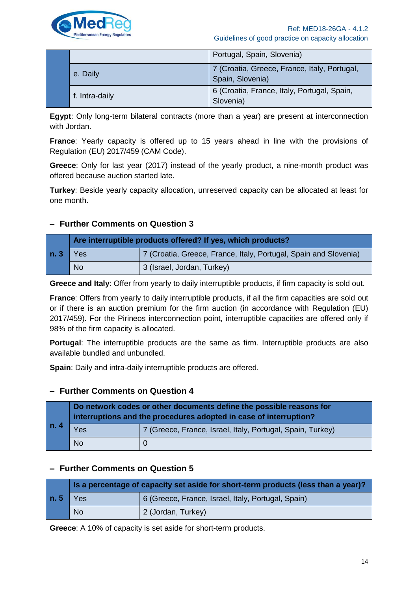

|  |                | Portugal, Spain, Slovenia)                                       |
|--|----------------|------------------------------------------------------------------|
|  | e. Daily       | 7 (Croatia, Greece, France, Italy, Portugal,<br>Spain, Slovenia) |
|  | f. Intra-daily | 6 (Croatia, France, Italy, Portugal, Spain,<br>Slovenia)         |

**Egypt**: Only long-term bilateral contracts (more than a year) are present at interconnection with Jordan.

**France**: Yearly capacity is offered up to 15 years ahead in line with the provisions of Regulation (EU) 2017/459 (CAM Code).

**Greece**: Only for last year (2017) instead of the yearly product, a nine-month product was offered because auction started late.

**Turkey**: Beside yearly capacity allocation, unreserved capacity can be allocated at least for one month.

### **– Further Comments on Question 3**

| n.3 | Are interruptible products offered? If yes, which products? |                                                                  |  |
|-----|-------------------------------------------------------------|------------------------------------------------------------------|--|
|     | $\triangle$ Yes                                             | 7 (Croatia, Greece, France, Italy, Portugal, Spain and Slovenia) |  |
|     | <b>No</b>                                                   | 3 (Israel, Jordan, Turkey)                                       |  |

**Greece and Italy**: Offer from yearly to daily interruptible products, if firm capacity is sold out.

**France**: Offers from yearly to daily interruptible products, if all the firm capacities are sold out or if there is an auction premium for the firm auction (in accordance with Regulation (EU) 2017/459). For the Pirineos interconnection point, interruptible capacities are offered only if 98% of the firm capacity is allocated.

**Portugal**: The interruptible products are the same as firm. Interruptible products are also available bundled and unbundled.

**Spain**: Daily and intra-daily interruptible products are offered.

### **– Further Comments on Question 4**

| n.4 | Do network codes or other documents define the possible reasons for<br>interruptions and the procedures adopted in case of interruption? |                                                            |  |
|-----|------------------------------------------------------------------------------------------------------------------------------------------|------------------------------------------------------------|--|
|     | Yes                                                                                                                                      | 7 (Greece, France, Israel, Italy, Portugal, Spain, Turkey) |  |
|     | <b>No</b>                                                                                                                                |                                                            |  |

### **– Further Comments on Question 5**

|     | Is a percentage of capacity set aside for short-term products (less than a year)? |                                                    |  |
|-----|-----------------------------------------------------------------------------------|----------------------------------------------------|--|
| n.5 | I Yes                                                                             | 6 (Greece, France, Israel, Italy, Portugal, Spain) |  |
|     | <b>No</b>                                                                         | 2 (Jordan, Turkey)                                 |  |

**Greece**: A 10% of capacity is set aside for short-term products.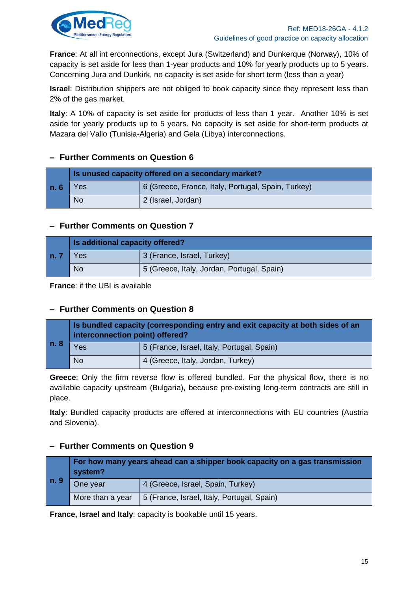

**France**: At all int erconnections, except Jura (Switzerland) and Dunkerque (Norway), 10% of capacity is set aside for less than 1-year products and 10% for yearly products up to 5 years. Concerning Jura and Dunkirk, no capacity is set aside for short term (less than a year)

**Israel**: Distribution shippers are not obliged to book capacity since they represent less than 2% of the gas market.

**Italy**: A 10% of capacity is set aside for products of less than 1 year. Another 10% is set aside for yearly products up to 5 years. No capacity is set aside for short-term products at Mazara del Vallo (Tunisia-Algeria) and Gela (Libya) interconnections.

### **– Further Comments on Question 6**

|     | Is unused capacity offered on a secondary market? |                                                    |  |
|-----|---------------------------------------------------|----------------------------------------------------|--|
| n.6 | Yes                                               | 6 (Greece, France, Italy, Portugal, Spain, Turkey) |  |
|     | <b>No</b>                                         | 2 (Israel, Jordan)                                 |  |

### **– Further Comments on Question 7**

|        | Is additional capacity offered? |                                            |  |
|--------|---------------------------------|--------------------------------------------|--|
| l n. 7 | <b>Yes</b>                      | 3 (France, Israel, Turkey)                 |  |
|        | <b>No</b>                       | 5 (Greece, Italy, Jordan, Portugal, Spain) |  |

**France**: if the UBI is available

### **– Further Comments on Question 8**

| n. 8 | Is bundled capacity (corresponding entry and exit capacity at both sides of an<br>interconnection point) offered? |                                            |  |
|------|-------------------------------------------------------------------------------------------------------------------|--------------------------------------------|--|
|      | Yes                                                                                                               | 5 (France, Israel, Italy, Portugal, Spain) |  |
|      | <b>No</b>                                                                                                         | 4 (Greece, Italy, Jordan, Turkey)          |  |

**Greece**: Only the firm reverse flow is offered bundled. For the physical flow, there is no available capacity upstream (Bulgaria), because pre-existing long-term contracts are still in place.

**Italy**: Bundled capacity products are offered at interconnections with EU countries (Austria and Slovenia).

### **– Further Comments on Question 9**

| n. 9 | For how many years ahead can a shipper book capacity on a gas transmission<br>system? |                                            |  |
|------|---------------------------------------------------------------------------------------|--------------------------------------------|--|
|      | One year                                                                              | 4 (Greece, Israel, Spain, Turkey)          |  |
|      | More than a year                                                                      | 5 (France, Israel, Italy, Portugal, Spain) |  |

**France, Israel and Italy**: capacity is bookable until 15 years.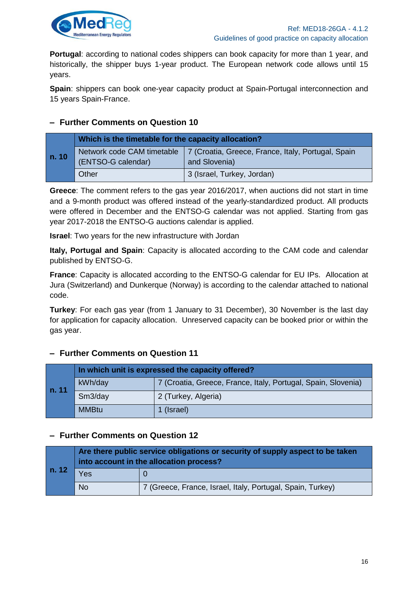

**Portugal:** according to national codes shippers can book capacity for more than 1 year, and historically, the shipper buys 1-year product. The European network code allows until 15 years.

**Spain**: shippers can book one-year capacity product at Spain-Portugal interconnection and 15 years Spain-France.

### **– Further Comments on Question 10**

|       | Which is the timetable for the capacity allocation? |                                                                     |  |
|-------|-----------------------------------------------------|---------------------------------------------------------------------|--|
| n. 10 | Network code CAM timetable<br>(ENTSO-G calendar)    | 7 (Croatia, Greece, France, Italy, Portugal, Spain<br>and Slovenia) |  |
|       | Other                                               | 3 (Israel, Turkey, Jordan)                                          |  |

**Greece**: The comment refers to the gas year 2016/2017, when auctions did not start in time and a 9-month product was offered instead of the yearly-standardized product. All products were offered in December and the ENTSO-G calendar was not applied. Starting from gas year 2017-2018 the ENTSO-G auctions calendar is applied.

**Israel**: Two years for the new infrastructure with Jordan

**Italy, Portugal and Spain**: Capacity is allocated according to the CAM code and calendar published by ENTSO-G.

**France**: Capacity is allocated according to the ENTSO-G calendar for EU IPs. Allocation at Jura (Switzerland) and Dunkerque (Norway) is according to the calendar attached to national code.

**Turkey**: For each gas year (from 1 January to 31 December), 30 November is the last day for application for capacity allocation. Unreserved capacity can be booked prior or within the gas year.

### **– Further Comments on Question 11**

| n. 11 | In which unit is expressed the capacity offered? |                                                               |  |
|-------|--------------------------------------------------|---------------------------------------------------------------|--|
|       | kWh/day                                          | 7 (Croatia, Greece, France, Italy, Portugal, Spain, Slovenia) |  |
|       | Sm3/day                                          | 2 (Turkey, Algeria)                                           |  |
|       | <b>MMBtu</b>                                     | 1 (Israel)                                                    |  |

### **– Further Comments on Question 12**

| n. 12 | Are there public service obligations or security of supply aspect to be taken<br>into account in the allocation process? |                                                            |  |
|-------|--------------------------------------------------------------------------------------------------------------------------|------------------------------------------------------------|--|
|       | Yes                                                                                                                      |                                                            |  |
|       | <b>No</b>                                                                                                                | 7 (Greece, France, Israel, Italy, Portugal, Spain, Turkey) |  |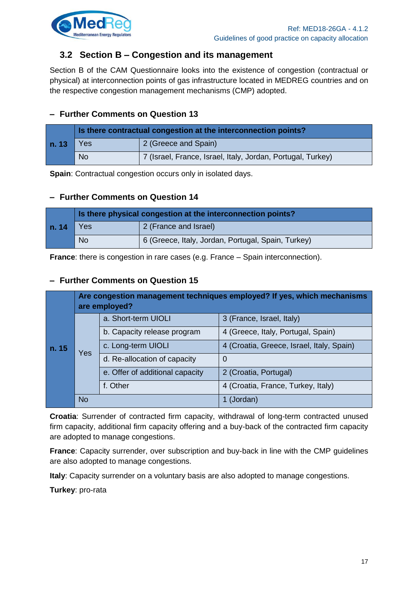

### <span id="page-16-0"></span>**3.2 Section B – Congestion and its management**

Section B of the CAM Questionnaire looks into the existence of congestion (contractual or physical) at interconnection points of gas infrastructure located in MEDREG countries and on the respective congestion management mechanisms (CMP) adopted.

### **– Further Comments on Question 13**

| n. 13 | Is there contractual congestion at the interconnection points? |                                                             |  |
|-------|----------------------------------------------------------------|-------------------------------------------------------------|--|
|       | <b>Yes</b>                                                     | 2 (Greece and Spain)                                        |  |
|       | <b>No</b>                                                      | 7 (Israel, France, Israel, Italy, Jordan, Portugal, Turkey) |  |

**Spain**: Contractual congestion occurs only in isolated days.

### **– Further Comments on Question 14**

| n. 14 | Is there physical congestion at the interconnection points? |                                                    |  |
|-------|-------------------------------------------------------------|----------------------------------------------------|--|
|       | Yes                                                         | 2 (France and Israel)                              |  |
|       | <b>No</b>                                                   | 6 (Greece, Italy, Jordan, Portugal, Spain, Turkey) |  |

**France:** there is congestion in rare cases (e.g. France – Spain interconnection).

### **– Further Comments on Question 15**

| n. 15 | Are congestion management techniques employed? If yes, which mechanisms<br>are employed? |                                 |                                           |
|-------|------------------------------------------------------------------------------------------|---------------------------------|-------------------------------------------|
|       | Yes                                                                                      | a. Short-term UIOLI             | 3 (France, Israel, Italy)                 |
|       |                                                                                          | b. Capacity release program     | 4 (Greece, Italy, Portugal, Spain)        |
|       |                                                                                          | c. Long-term UIOLI              | 4 (Croatia, Greece, Israel, Italy, Spain) |
|       |                                                                                          | d. Re-allocation of capacity    | 0                                         |
|       |                                                                                          | e. Offer of additional capacity | 2 (Croatia, Portugal)                     |
|       |                                                                                          | f. Other                        | 4 (Croatia, France, Turkey, Italy)        |
|       | <b>No</b>                                                                                |                                 | 1 (Jordan)                                |

**Croatia**: Surrender of contracted firm capacity, withdrawal of long-term contracted unused firm capacity, additional firm capacity offering and a buy-back of the contracted firm capacity are adopted to manage congestions.

**France**: Capacity surrender, over subscription and buy-back in line with the CMP guidelines are also adopted to manage congestions.

**Italy**: Capacity surrender on a voluntary basis are also adopted to manage congestions.

**Turkey**: pro-rata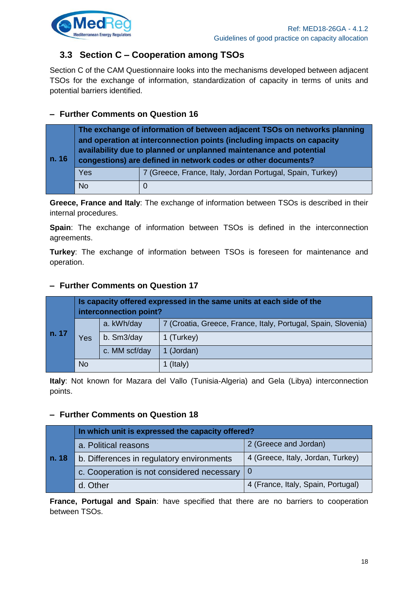

### <span id="page-17-0"></span>**3.3 Section C – Cooperation among TSOs**

Section C of the CAM Questionnaire looks into the mechanisms developed between adjacent TSOs for the exchange of information, standardization of capacity in terms of units and potential barriers identified.

### **– Further Comments on Question 16**

| n. 16 | The exchange of information of between adjacent TSOs on networks planning<br>and operation at interconnection points (including impacts on capacity<br>availability due to planned or unplanned maintenance and potential<br>congestions) are defined in network codes or other documents? |                                                           |  |
|-------|--------------------------------------------------------------------------------------------------------------------------------------------------------------------------------------------------------------------------------------------------------------------------------------------|-----------------------------------------------------------|--|
|       | Yes                                                                                                                                                                                                                                                                                        | 7 (Greece, France, Italy, Jordan Portugal, Spain, Turkey) |  |
|       | <b>No</b>                                                                                                                                                                                                                                                                                  |                                                           |  |

**Greece, France and Italy**: The exchange of information between TSOs is described in their internal procedures.

**Spain**: The exchange of information between TSOs is defined in the interconnection agreements.

**Turkey**: The exchange of information between TSOs is foreseen for maintenance and operation.

### **– Further Comments on Question 17**

| n. 17 | Is capacity offered expressed in the same units at each side of the<br>interconnection point? |               |                                                               |
|-------|-----------------------------------------------------------------------------------------------|---------------|---------------------------------------------------------------|
|       | Yes                                                                                           | a. kWh/day    | 7 (Croatia, Greece, France, Italy, Portugal, Spain, Slovenia) |
|       |                                                                                               | b. Sm3/day    | 1 (Turkey)                                                    |
|       |                                                                                               | c. MM scf/day | 1 (Jordan)                                                    |
|       | No                                                                                            |               | 1 (Italy)                                                     |

**Italy**: Not known for Mazara del Vallo (Tunisia-Algeria) and Gela (Libya) interconnection points.

### **– Further Comments on Question 18**

| n. 18 | In which unit is expressed the capacity offered?             |                                    |  |
|-------|--------------------------------------------------------------|------------------------------------|--|
|       | a. Political reasons                                         | 2 (Greece and Jordan)              |  |
|       | b. Differences in regulatory environments                    | 4 (Greece, Italy, Jordan, Turkey)  |  |
|       | c. Cooperation is not considered necessary $\vert 0 \rangle$ |                                    |  |
|       | d. Other                                                     | 4 (France, Italy, Spain, Portugal) |  |

**France, Portugal and Spain**: have specified that there are no barriers to cooperation between TSOs.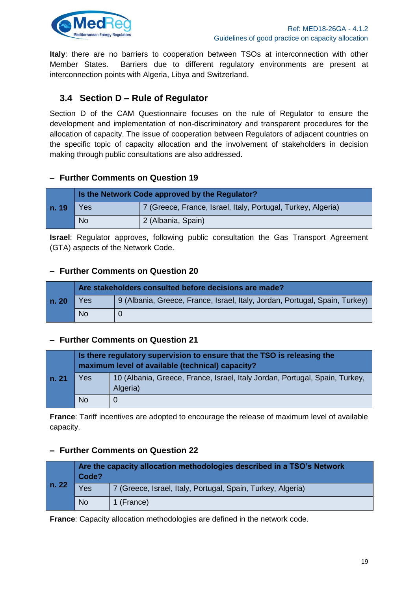

**Italy**: there are no barriers to cooperation between TSOs at interconnection with other Member States. Barriers due to different regulatory environments are present at interconnection points with Algeria, Libya and Switzerland.

### <span id="page-18-0"></span>**3.4 Section D – Rule of Regulator**

Section D of the CAM Questionnaire focuses on the rule of Regulator to ensure the development and implementation of non-discriminatory and transparent procedures for the allocation of capacity. The issue of cooperation between Regulators of adjacent countries on the specific topic of capacity allocation and the involvement of stakeholders in decision making through public consultations are also addressed.

### **– Further Comments on Question 19**

|              | Is the Network Code approved by the Regulator? |                                                              |  |
|--------------|------------------------------------------------|--------------------------------------------------------------|--|
| Yes<br>n. 19 |                                                | 7 (Greece, France, Israel, Italy, Portugal, Turkey, Algeria) |  |
|              | <b>No</b>                                      | 2 (Albania, Spain)                                           |  |

**Israel**: Regulator approves, following public consultation the Gas Transport Agreement (GTA) aspects of the Network Code.

#### **– Further Comments on Question 20**

|       | Are stakeholders consulted before decisions are made? |                                                                             |  |
|-------|-------------------------------------------------------|-----------------------------------------------------------------------------|--|
| n. 20 | Yes                                                   | 9 (Albania, Greece, France, Israel, Italy, Jordan, Portugal, Spain, Turkey) |  |
|       | <b>No</b>                                             |                                                                             |  |

### **– Further Comments on Question 21**

|       | Is there regulatory supervision to ensure that the TSO is releasing the<br>maximum level of available (technical) capacity? |                                                                                         |  |
|-------|-----------------------------------------------------------------------------------------------------------------------------|-----------------------------------------------------------------------------------------|--|
| n. 21 | Yes                                                                                                                         | 10 (Albania, Greece, France, Israel, Italy Jordan, Portugal, Spain, Turkey,<br>Algeria) |  |
|       | <b>No</b>                                                                                                                   |                                                                                         |  |

**France**: Tariff incentives are adopted to encourage the release of maximum level of available capacity.

### **– Further Comments on Question 22**

| n. 22 | Are the capacity allocation methodologies described in a TSO's Network<br>Code? |                                                             |  |
|-------|---------------------------------------------------------------------------------|-------------------------------------------------------------|--|
|       | Yes                                                                             | 7 (Greece, Israel, Italy, Portugal, Spain, Turkey, Algeria) |  |
|       | <b>No</b>                                                                       | 1 (France)                                                  |  |

**France**: Capacity allocation methodologies are defined in the network code.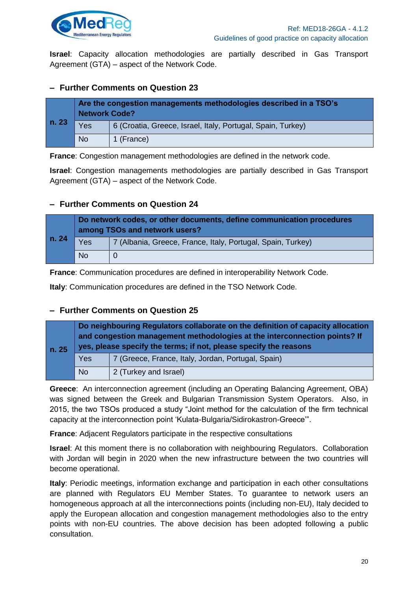

**Israel**: Capacity allocation methodologies are partially described in Gas Transport Agreement (GTA) – aspect of the Network Code.

### **– Further Comments on Question 23**

| n.23 | Are the congestion managements methodologies described in a TSO's<br><b>Network Code?</b> |                                                             |  |
|------|-------------------------------------------------------------------------------------------|-------------------------------------------------------------|--|
|      | Yes                                                                                       | 6 (Croatia, Greece, Israel, Italy, Portugal, Spain, Turkey) |  |
|      | <b>No</b>                                                                                 | 1 (France)                                                  |  |

**France**: Congestion management methodologies are defined in the network code.

**Israel**: Congestion managements methodologies are partially described in Gas Transport Agreement (GTA) – aspect of the Network Code.

### **– Further Comments on Question 24**

| n. 24 | Do network codes, or other documents, define communication procedures<br>among TSOs and network users? |                                                             |  |
|-------|--------------------------------------------------------------------------------------------------------|-------------------------------------------------------------|--|
|       | Yes                                                                                                    | 7 (Albania, Greece, France, Italy, Portugal, Spain, Turkey) |  |
|       | <b>No</b>                                                                                              |                                                             |  |

**France**: Communication procedures are defined in interoperability Network Code.

**Italy**: Communication procedures are defined in the TSO Network Code.

### **– Further Comments on Question 25**

| n. 25 | Do neighbouring Regulators collaborate on the definition of capacity allocation<br>and congestion management methodologies at the interconnection points? If<br>yes, please specify the terms; if not, please specify the reasons |                                                    |  |
|-------|-----------------------------------------------------------------------------------------------------------------------------------------------------------------------------------------------------------------------------------|----------------------------------------------------|--|
|       | Yes                                                                                                                                                                                                                               | 7 (Greece, France, Italy, Jordan, Portugal, Spain) |  |
|       | <b>No</b>                                                                                                                                                                                                                         | 2 (Turkey and Israel)                              |  |

**Greece**: An interconnection agreement (including an Operating Balancing Agreement, OBA) was signed between the Greek and Bulgarian Transmission System Operators. Also, in 2015, the two TSOs produced a study "Joint method for the calculation of the firm technical capacity at the interconnection point 'Kulata-Bulgaria/Sidirokastron-Greece'".

**France**: Adjacent Regulators participate in the respective consultations

**Israel**: At this moment there is no collaboration with neighbouring Regulators. Collaboration with Jordan will begin in 2020 when the new infrastructure between the two countries will become operational.

**Italy**: Periodic meetings, information exchange and participation in each other consultations are planned with Regulators EU Member States. To guarantee to network users an homogeneous approach at all the interconnections points (including non-EU), Italy decided to apply the European allocation and congestion management methodologies also to the entry points with non-EU countries. The above decision has been adopted following a public consultation.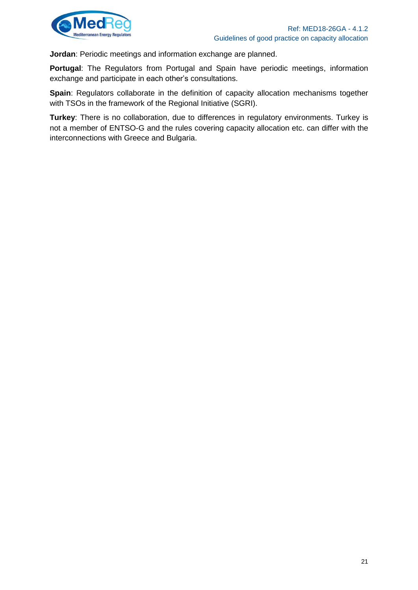

**Jordan**: Periodic meetings and information exchange are planned.

**Portugal**: The Regulators from Portugal and Spain have periodic meetings, information exchange and participate in each other's consultations.

**Spain:** Regulators collaborate in the definition of capacity allocation mechanisms together with TSOs in the framework of the Regional Initiative (SGRI).

**Turkey**: There is no collaboration, due to differences in regulatory environments. Turkey is not a member of ENTSO-G and the rules covering capacity allocation etc. can differ with the interconnections with Greece and Bulgaria.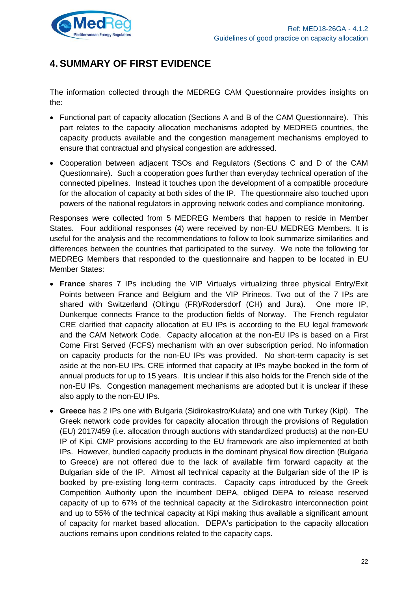

# <span id="page-21-0"></span>**4. SUMMARY OF FIRST EVIDENCE**

The information collected through the MEDREG CAM Questionnaire provides insights on the:

- Functional part of capacity allocation (Sections A and B of the CAM Questionnaire). This part relates to the capacity allocation mechanisms adopted by MEDREG countries, the capacity products available and the congestion management mechanisms employed to ensure that contractual and physical congestion are addressed.
- Cooperation between adjacent TSOs and Regulators (Sections C and D of the CAM Questionnaire). Such a cooperation goes further than everyday technical operation of the connected pipelines. Instead it touches upon the development of a compatible procedure for the allocation of capacity at both sides of the IP. The questionnaire also touched upon powers of the national regulators in approving network codes and compliance monitoring.

Responses were collected from 5 MEDREG Members that happen to reside in Member States. Four additional responses (4) were received by non-EU MEDREG Members. It is useful for the analysis and the recommendations to follow to look summarize similarities and differences between the countries that participated to the survey. We note the following for MEDREG Members that responded to the questionnaire and happen to be located in EU Member States:

- **France** shares 7 IPs including the VIP Virtualys virtualizing three physical Entry/Exit Points between France and Belgium and the VIP Pirineos. Two out of the 7 IPs are shared with Switzerland (Oltingu (FR)/Rodersdorf (CH) and Jura). One more IP, Dunkerque connects France to the production fields of Norway. The French regulator CRE clarified that capacity allocation at EU IPs is according to the EU legal framework and the CAM Network Code. Capacity allocation at the non-EU IPs is based on a First Come First Served (FCFS) mechanism with an over subscription period. No information on capacity products for the non-EU IPs was provided. No short-term capacity is set aside at the non-EU IPs. CRE informed that capacity at IPs maybe booked in the form of annual products for up to 15 years. It is unclear if this also holds for the French side of the non-EU IPs. Congestion management mechanisms are adopted but it is unclear if these also apply to the non-EU IPs.
- **Greece** has 2 IPs one with Bulgaria (Sidirokastro/Kulata) and one with Turkey (Kipi). The Greek network code provides for capacity allocation through the provisions of Regulation (EU) 2017/459 (i.e. allocation through auctions with standardized products) at the non-EU IP of Kipi. CMP provisions according to the EU framework are also implemented at both IPs. However, bundled capacity products in the dominant physical flow direction (Bulgaria to Greece) are not offered due to the lack of available firm forward capacity at the Bulgarian side of the IP. Almost all technical capacity at the Bulgarian side of the IP is booked by pre-existing long-term contracts. Capacity caps introduced by the Greek Competition Authority upon the incumbent DEPA, obliged DEPA to release reserved capacity of up to 67% of the technical capacity at the Sidirokastro interconnection point and up to 55% of the technical capacity at Kipi making thus available a significant amount of capacity for market based allocation. DEPA's participation to the capacity allocation auctions remains upon conditions related to the capacity caps.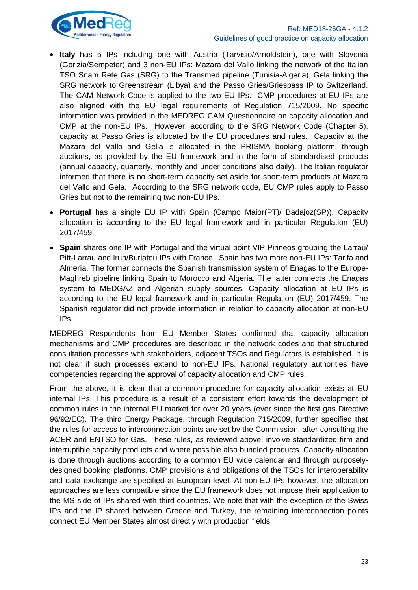



- **Italy** has 5 IPs including one with Austria (Tarvisio/Arnoldstein), one with Slovenia (Gorizia/Sempeter) and 3 non-EU IPs: Mazara del Vallo linking the network of the Italian TSO Snam Rete Gas (SRG) to the Transmed pipeline (Tunisia-Algeria), Gela linking the SRG network to Greenstream (Libya) and the Passo Gries/Griespass IP to Switzerland. The CAM Network Code is applied to the two EU IPs. CMP procedures at EU IPs are also aligned with the EU legal requirements of Regulation 715/2009. No specific information was provided in the MEDREG CAM Questionnaire on capacity allocation and CMP at the non-EU IPs. However, according to the SRG Network Code (Chapter 5), capacity at Passo Gries is allocated by the EU procedures and rules. Capacity at the Mazara del Vallo and Gella is allocated in the PRISMA booking platform, through auctions, as provided by the EU framework and in the form of standardised products (annual capacity, quarterly, monthly and under conditions also daily). The Italian regulator informed that there is no short-term capacity set aside for short-term products at Mazara del Vallo and Gela. According to the SRG network code, EU CMP rules apply to Passo Gries but not to the remaining two non-EU IPs.
- **Portugal** has a single EU IP with Spain (Campo Maior(PT)/ Badajoz(SP)). Capacity allocation is according to the EU legal framework and in particular Regulation (EU) 2017/459.
- **Spain** shares one IP with Portugal and the virtual point VIP Pirineos grouping the Larrau/ Pitt-Larrau and Irun/Buriatou IPs with France. Spain has two more non-EU IPs: Tarifa and Almería. The former connects the Spanish transmission system of Enagas to the Europe-Maghreb pipeline linking Spain to Morocco and Algeria. The latter connects the Enagas system to MEDGAZ and Algerian supply sources. Capacity allocation at EU IPs is according to the EU legal framework and in particular Regulation (EU) 2017/459. The Spanish regulator did not provide information in relation to capacity allocation at non-EU IPs.

MEDREG Respondents from EU Member States confirmed that capacity allocation mechanisms and CMP procedures are described in the network codes and that structured consultation processes with stakeholders, adjacent TSOs and Regulators is established. It is not clear if such processes extend to non-EU IPs. National regulatory authorities have competencies regarding the approval of capacity allocation and CMP rules.

From the above, it is clear that a common procedure for capacity allocation exists at EU internal IPs. This procedure is a result of a consistent effort towards the development of common rules in the internal EU market for over 20 years (ever since the first gas Directive 96/92/EC). The third Energy Package, through Regulation 715/2009, further specified that the rules for access to interconnection points are set by the Commission, after consulting the ACER and ENTSO for Gas. These rules, as reviewed above, involve standardized firm and interruptible capacity products and where possible also bundled products. Capacity allocation is done through auctions according to a common EU wide calendar and through purposelydesigned booking platforms. CMP provisions and obligations of the TSOs for interoperability and data exchange are specified at European level. At non-EU IPs however, the allocation approaches are less compatible since the EU framework does not impose their application to the MS-side of IPs shared with third countries. We note that with the exception of the Swiss IPs and the IP shared between Greece and Turkey, the remaining interconnection points connect EU Member States almost directly with production fields.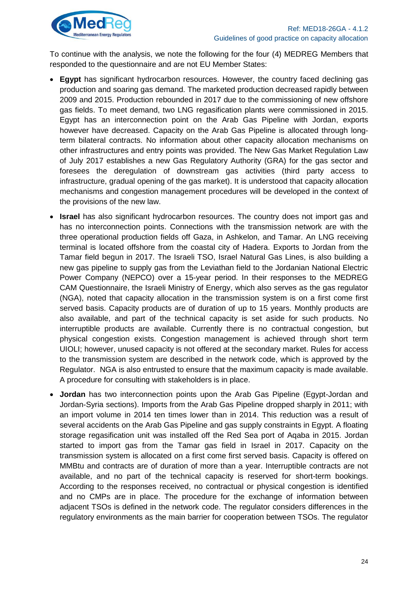

To continue with the analysis, we note the following for the four (4) MEDREG Members that responded to the questionnaire and are not EU Member States:

- **Egypt** has significant hydrocarbon resources. However, the country faced declining gas production and soaring gas demand. The marketed production decreased rapidly between 2009 and 2015. Production rebounded in 2017 due to the commissioning of new offshore gas fields. To meet demand, two LNG regasification plants were commissioned in 2015. Egypt has an interconnection point on the Arab Gas Pipeline with Jordan, exports however have decreased. Capacity on the Arab Gas Pipeline is allocated through longterm bilateral contracts. No information about other capacity allocation mechanisms on other infrastructures and entry points was provided. The New Gas Market Regulation Law of July 2017 establishes a new Gas Regulatory Authority (GRA) for the gas sector and foresees the deregulation of downstream gas activities (third party access to infrastructure, gradual opening of the gas market). It is understood that capacity allocation mechanisms and congestion management procedures will be developed in the context of the provisions of the new law.
- **Israel** has also significant hydrocarbon resources. The country does not import gas and has no interconnection points. Connections with the transmission network are with the three operational production fields off Gaza, in Ashkelon, and Tamar. An LNG receiving terminal is located offshore from the coastal city of Hadera. Exports to Jordan from the Tamar field begun in 2017. The Israeli TSO, Israel Natural Gas Lines, is also building a new gas pipeline to supply gas from the Leviathan field to the Jordanian National Electric Power Company (NEPCO) over a 15-year period. In their responses to the MEDREG CAM Questionnaire, the Israeli Ministry of Energy, which also serves as the gas regulator (NGA), noted that capacity allocation in the transmission system is on a first come first served basis. Capacity products are of duration of up to 15 years. Monthly products are also available, and part of the technical capacity is set aside for such products. No interruptible products are available. Currently there is no contractual congestion, but physical congestion exists. Congestion management is achieved through short term UIOLI; however, unused capacity is not offered at the secondary market. Rules for access to the transmission system are described in the network code, which is approved by the Regulator. NGA is also entrusted to ensure that the maximum capacity is made available. A procedure for consulting with stakeholders is in place.
- **Jordan** has two interconnection points upon the Arab Gas Pipeline (Egypt-Jordan and Jordan-Syria sections). Imports from the Arab Gas Pipeline dropped sharply in 2011; with an import volume in 2014 ten times lower than in 2014. This reduction was a result of several accidents on the Arab Gas Pipeline and gas supply constraints in Egypt. A floating storage regasification unit was installed off the Red Sea port of Aqaba in 2015. Jordan started to import gas from the Tamar gas field in Israel in 2017. Capacity on the transmission system is allocated on a first come first served basis. Capacity is offered on MMBtu and contracts are of duration of more than a year. Interruptible contracts are not available, and no part of the technical capacity is reserved for short-term bookings. According to the responses received, no contractual or physical congestion is identified and no CMPs are in place. The procedure for the exchange of information between adjacent TSOs is defined in the network code. The regulator considers differences in the regulatory environments as the main barrier for cooperation between TSOs. The regulator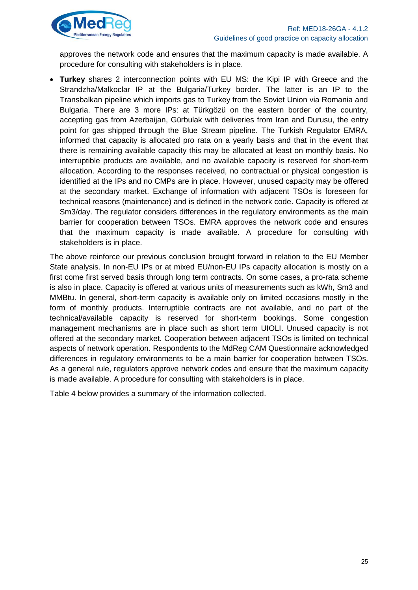

approves the network code and ensures that the maximum capacity is made available. A procedure for consulting with stakeholders is in place.

 **Turkey** shares 2 interconnection points with EU MS: the Kipi IP with Greece and the Strandzha/Malkoclar IP at the Bulgaria/Turkey border. The latter is an IP to the Transbalkan pipeline which imports gas to Turkey from the Soviet Union via Romania and Bulgaria. There are 3 more IPs: at Türkgözü on the eastern border of the country, accepting gas from Azerbaijan, Gürbulak with deliveries from Iran and Durusu, the entry point for gas shipped through the Blue Stream pipeline. The Turkish Regulator EMRA, informed that capacity is allocated pro rata on a yearly basis and that in the event that there is remaining available capacity this may be allocated at least on monthly basis. No interruptible products are available, and no available capacity is reserved for short-term allocation. According to the responses received, no contractual or physical congestion is identified at the IPs and no CMPs are in place. However, unused capacity may be offered at the secondary market. Exchange of information with adjacent TSOs is foreseen for technical reasons (maintenance) and is defined in the network code. Capacity is offered at Sm3/day. The regulator considers differences in the regulatory environments as the main barrier for cooperation between TSOs. EMRA approves the network code and ensures that the maximum capacity is made available. A procedure for consulting with stakeholders is in place.

The above reinforce our previous conclusion brought forward in relation to the EU Member State analysis. In non-EU IPs or at mixed EU/non-EU IPs capacity allocation is mostly on a first come first served basis through long term contracts. On some cases, a pro-rata scheme is also in place. Capacity is offered at various units of measurements such as kWh, Sm3 and MMBtu. In general, short-term capacity is available only on limited occasions mostly in the form of monthly products. Interruptible contracts are not available, and no part of the technical/available capacity is reserved for short-term bookings. Some congestion management mechanisms are in place such as short term UIOLI. Unused capacity is not offered at the secondary market. Cooperation between adjacent TSOs is limited on technical aspects of network operation. Respondents to the MdReg CAM Questionnaire acknowledged differences in regulatory environments to be a main barrier for cooperation between TSOs. As a general rule, regulators approve network codes and ensure that the maximum capacity is made available. A procedure for consulting with stakeholders is in place.

Table 4 below provides a summary of the information collected.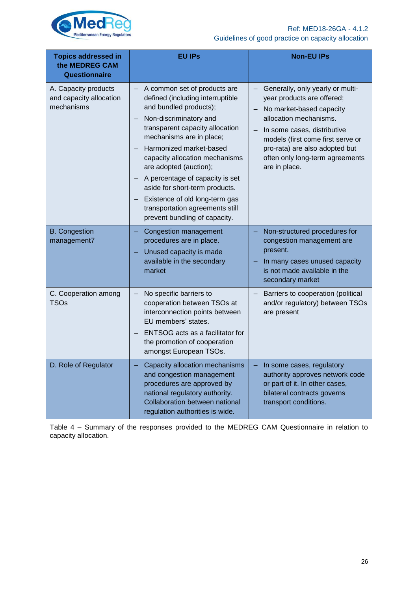

| <b>Topics addressed in</b><br>the MEDREG CAM<br>Questionnaire | <b>EU IPs</b>                                                                                                                                                                                                                                                                                                                                                                                                                                           | <b>Non-EU IPs</b>                                                                                                                                                                                                                                                              |
|---------------------------------------------------------------|---------------------------------------------------------------------------------------------------------------------------------------------------------------------------------------------------------------------------------------------------------------------------------------------------------------------------------------------------------------------------------------------------------------------------------------------------------|--------------------------------------------------------------------------------------------------------------------------------------------------------------------------------------------------------------------------------------------------------------------------------|
| A. Capacity products<br>and capacity allocation<br>mechanisms | - A common set of products are<br>defined (including interruptible<br>and bundled products);<br>Non-discriminatory and<br>transparent capacity allocation<br>mechanisms are in place;<br>Harmonized market-based<br>capacity allocation mechanisms<br>are adopted (auction);<br>A percentage of capacity is set<br>aside for short-term products.<br>Existence of old long-term gas<br>transportation agreements still<br>prevent bundling of capacity. | Generally, only yearly or multi-<br>year products are offered;<br>No market-based capacity<br>allocation mechanisms.<br>In some cases, distributive<br>models (first come first serve or<br>pro-rata) are also adopted but<br>often only long-term agreements<br>are in place. |
| <b>B.</b> Congestion<br>management7                           | Congestion management<br>procedures are in place.<br>Unused capacity is made<br>available in the secondary<br>market                                                                                                                                                                                                                                                                                                                                    | Non-structured procedures for<br>congestion management are<br>present.<br>In many cases unused capacity<br>is not made available in the<br>secondary market                                                                                                                    |
| C. Cooperation among<br><b>TSOs</b>                           | No specific barriers to<br>cooperation between TSOs at<br>interconnection points between<br>EU members' states.<br>ENTSOG acts as a facilitator for<br>the promotion of cooperation<br>amongst European TSOs.                                                                                                                                                                                                                                           | Barriers to cooperation (political<br>and/or regulatory) between TSOs<br>are present                                                                                                                                                                                           |
| D. Role of Regulator                                          | Capacity allocation mechanisms<br>and congestion management<br>procedures are approved by<br>national regulatory authority.<br>Collaboration between national<br>regulation authorities is wide.                                                                                                                                                                                                                                                        | In some cases, regulatory<br>authority approves network code<br>or part of it. In other cases,<br>bilateral contracts governs<br>transport conditions.                                                                                                                         |

<span id="page-25-0"></span>Table 4 – Summary of the responses provided to the MEDREG CAM Questionnaire in relation to capacity allocation.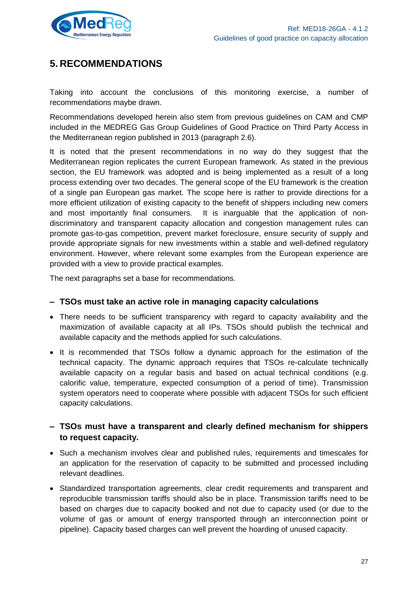

# <span id="page-26-0"></span>**5. RECOMMENDATIONS**

Taking into account the conclusions of this monitoring exercise, a number of recommendations maybe drawn.

Recommendations developed herein also stem from previous guidelines on CAM and CMP included in the MEDREG Gas Group Guidelines of Good Practice on Third Party Access in the Mediterranean region published in 2013 (paragraph 2.6).

It is noted that the present recommendations in no way do they suggest that the Mediterranean region replicates the current European framework. As stated in the previous section, the EU framework was adopted and is being implemented as a result of a long process extending over two decades. The general scope of the EU framework is the creation of a single pan European gas market. The scope here is rather to provide directions for a more efficient utilization of existing capacity to the benefit of shippers including new comers and most importantly final consumers. It is inarguable that the application of nondiscriminatory and transparent capacity allocation and congestion management rules can promote gas-to-gas competition, prevent market foreclosure, ensure security of supply and provide appropriate signals for new investments within a stable and well-defined regulatory environment. However, where relevant some examples from the European experience are provided with a view to provide practical examples.

The next paragraphs set a base for recommendations.

### **– TSOs must take an active role in managing capacity calculations**

- There needs to be sufficient transparency with regard to capacity availability and the maximization of available capacity at all IPs. TSOs should publish the technical and available capacity and the methods applied for such calculations.
- It is recommended that TSOs follow a dynamic approach for the estimation of the technical capacity. The dynamic approach requires that TSOs re-calculate technically available capacity on a regular basis and based on actual technical conditions (e.g. calorific value, temperature, expected consumption of a period of time). Transmission system operators need to cooperate where possible with adjacent TSOs for such efficient capacity calculations.

### **– TSOs must have a transparent and clearly defined mechanism for shippers to request capacity.**

- Such a mechanism involves clear and published rules, requirements and timescales for an application for the reservation of capacity to be submitted and processed including relevant deadlines.
- Standardized transportation agreements, clear credit requirements and transparent and reproducible transmission tariffs should also be in place. Transmission tariffs need to be based on charges due to capacity booked and not due to capacity used (or due to the volume of gas or amount of energy transported through an interconnection point or pipeline). Capacity based charges can well prevent the hoarding of unused capacity.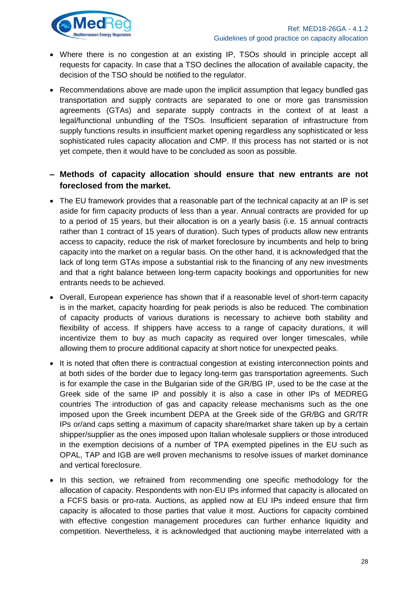

- Where there is no congestion at an existing IP, TSOs should in principle accept all requests for capacity. In case that a TSO declines the allocation of available capacity, the decision of the TSO should be notified to the regulator.
- Recommendations above are made upon the implicit assumption that legacy bundled gas transportation and supply contracts are separated to one or more gas transmission agreements (GTAs) and separate supply contracts in the context of at least a legal/functional unbundling of the TSOs. Insufficient separation of infrastructure from supply functions results in insufficient market opening regardless any sophisticated or less sophisticated rules capacity allocation and CMP. If this process has not started or is not yet compete, then it would have to be concluded as soon as possible.

### **– Methods of capacity allocation should ensure that new entrants are not foreclosed from the market.**

- The EU framework provides that a reasonable part of the technical capacity at an IP is set aside for firm capacity products of less than a year. Annual contracts are provided for up to a period of 15 years, but their allocation is on a yearly basis (i.e. 15 annual contracts rather than 1 contract of 15 years of duration). Such types of products allow new entrants access to capacity, reduce the risk of market foreclosure by incumbents and help to bring capacity into the market on a regular basis. On the other hand, it is acknowledged that the lack of long term GTAs impose a substantial risk to the financing of any new investments and that a right balance between long-term capacity bookings and opportunities for new entrants needs to be achieved.
- Overall, European experience has shown that if a reasonable level of short-term capacity is in the market, capacity hoarding for peak periods is also be reduced. The combination of capacity products of various durations is necessary to achieve both stability and flexibility of access. If shippers have access to a range of capacity durations, it will incentivize them to buy as much capacity as required over longer timescales, while allowing them to procure additional capacity at short notice for unexpected peaks.
- It is noted that often there is contractual congestion at existing interconnection points and at both sides of the border due to legacy long-term gas transportation agreements. Such is for example the case in the Bulgarian side of the GR/BG IP, used to be the case at the Greek side of the same IP and possibly it is also a case in other IPs of MEDREG countries The introduction of gas and capacity release mechanisms such as the one imposed upon the Greek incumbent DEPA at the Greek side of the GR/BG and GR/TR IPs or/and caps setting a maximum of capacity share/market share taken up by a certain shipper/supplier as the ones imposed upon Italian wholesale suppliers or those introduced in the exemption decisions of a number of TPA exempted pipelines in the EU such as OPAL, TAP and IGB are well proven mechanisms to resolve issues of market dominance and vertical foreclosure.
- In this section, we refrained from recommending one specific methodology for the allocation of capacity. Respondents with non-EU IPs informed that capacity is allocated on a FCFS basis or pro-rata. Auctions, as applied now at EU IPs indeed ensure that firm capacity is allocated to those parties that value it most. Auctions for capacity combined with effective congestion management procedures can further enhance liquidity and competition. Nevertheless, it is acknowledged that auctioning maybe interrelated with a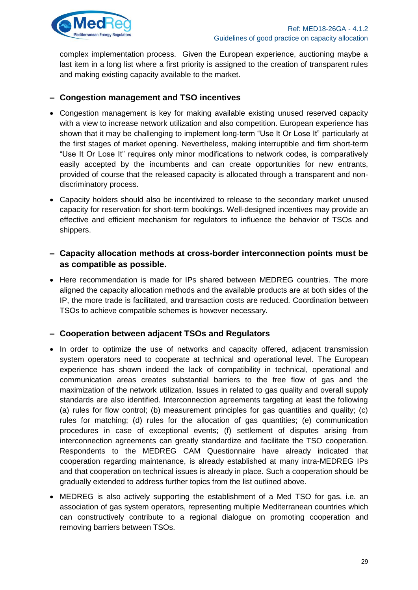

complex implementation process. Given the European experience, auctioning maybe a last item in a long list where a first priority is assigned to the creation of transparent rules and making existing capacity available to the market.

### **– Congestion management and TSO incentives**

- Congestion management is key for making available existing unused reserved capacity with a view to increase network utilization and also competition. European experience has shown that it may be challenging to implement long-term "Use It Or Lose It" particularly at the first stages of market opening. Nevertheless, making interruptible and firm short-term "Use It Or Lose It" requires only minor modifications to network codes, is comparatively easily accepted by the incumbents and can create opportunities for new entrants, provided of course that the released capacity is allocated through a transparent and nondiscriminatory process.
- Capacity holders should also be incentivized to release to the secondary market unused capacity for reservation for short-term bookings. Well-designed incentives may provide an effective and efficient mechanism for regulators to influence the behavior of TSOs and shippers.
- **– Capacity allocation methods at cross-border interconnection points must be as compatible as possible.**
- Here recommendation is made for IPs shared between MEDREG countries. The more aligned the capacity allocation methods and the available products are at both sides of the IP, the more trade is facilitated, and transaction costs are reduced. Coordination between TSOs to achieve compatible schemes is however necessary.

### **– Cooperation between adjacent TSOs and Regulators**

- In order to optimize the use of networks and capacity offered, adjacent transmission system operators need to cooperate at technical and operational level. The European experience has shown indeed the lack of compatibility in technical, operational and communication areas creates substantial barriers to the free flow of gas and the maximization of the network utilization. Issues in related to gas quality and overall supply standards are also identified. Interconnection agreements targeting at least the following (a) rules for flow control; (b) measurement principles for gas quantities and quality; (c) rules for matching; (d) rules for the allocation of gas quantities; (e) communication procedures in case of exceptional events; (f) settlement of disputes arising from interconnection agreements can greatly standardize and facilitate the TSO cooperation. Respondents to the MEDREG CAM Questionnaire have already indicated that cooperation regarding maintenance, is already established at many intra-MEDREG IPs and that cooperation on technical issues is already in place. Such a cooperation should be gradually extended to address further topics from the list outlined above.
- MEDREG is also actively supporting the establishment of a Med TSO for gas. i.e. an association of gas system operators, representing multiple Mediterranean countries which can constructively contribute to a regional dialogue on promoting cooperation and removing barriers between TSOs.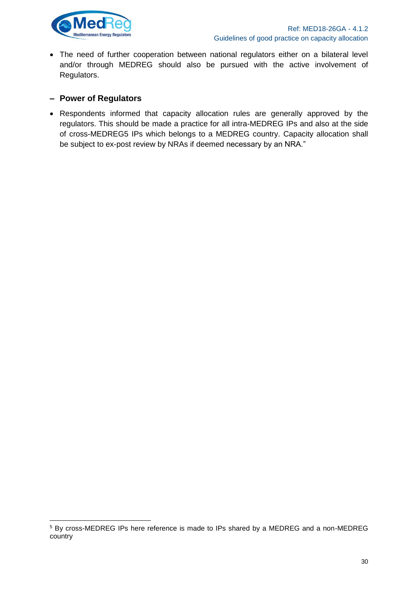

 The need of further cooperation between national regulators either on a bilateral level and/or through MEDREG should also be pursued with the active involvement of Regulators.

### **– Power of Regulators**

 Respondents informed that capacity allocation rules are generally approved by the regulators. This should be made a practice for all intra-MEDREG IPs and also at the side of cross-MEDREG5 IPs which belongs to a MEDREG country. Capacity allocation shall be subject to ex-post review by NRAs if deemed necessary by an NRA."

<sup>5</sup> By cross-MEDREG IPs here reference is made to IPs shared by a MEDREG and a non-MEDREG country